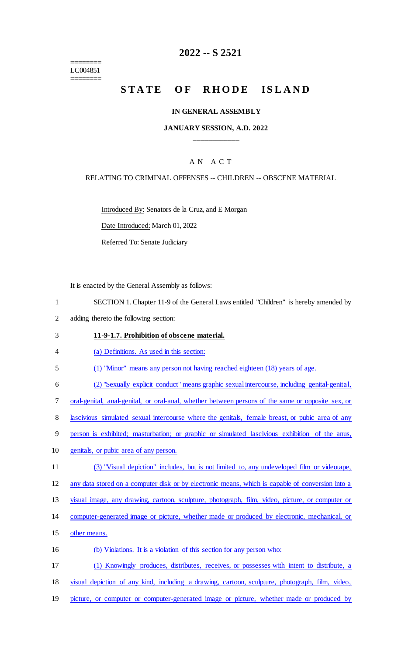======== LC004851 ========

# **2022 -- S 2521**

# STATE OF RHODE ISLAND

### **IN GENERAL ASSEMBLY**

### **JANUARY SESSION, A.D. 2022 \_\_\_\_\_\_\_\_\_\_\_\_**

### A N A C T

### RELATING TO CRIMINAL OFFENSES -- CHILDREN -- OBSCENE MATERIAL

Introduced By: Senators de la Cruz, and E Morgan

Date Introduced: March 01, 2022

Referred To: Senate Judiciary

It is enacted by the General Assembly as follows:

- 1 SECTION 1. Chapter 11-9 of the General Laws entitled "Children" is hereby amended by
- 2 adding thereto the following section:

#### 3 **11-9-1.7. Prohibition of obscene material.**

4 (a) Definitions. As used in this section:

5 (1) "Minor" means any person not having reached eighteen (18) years of age.

6 (2) "Sexually explicit conduct" means graphic sexualintercourse, including genital-genital,

7 oral-genital, anal-genital, or oral-anal, whether between persons of the same or opposite sex, or

8 lascivious simulated sexual intercourse where the genitals, female breast, or pubic area of any

9 person is exhibited; masturbation; or graphic or simulated lascivious exhibition of the anus,

- 10 genitals, or pubic area of any person.
- 11 (3) "Visual depiction" includes, but is not limited to, any undeveloped film or videotape,

12 any data stored on a computer disk or by electronic means, which is capable of conversion into a

13 visual image, any drawing, cartoon, sculpture, photograph, film, video, picture, or computer or

- 14 computer-generated image or picture, whether made or produced by electronic, mechanical, or
- 15 other means.
- 16 (b) Violations. It is a violation of this section for any person who:

17 (1) Knowingly produces, distributes, receives, or possesses with intent to distribute, a

18 visual depiction of any kind, including a drawing, cartoon, sculpture, photograph, film, video,

19 picture, or computer or computer-generated image or picture, whether made or produced by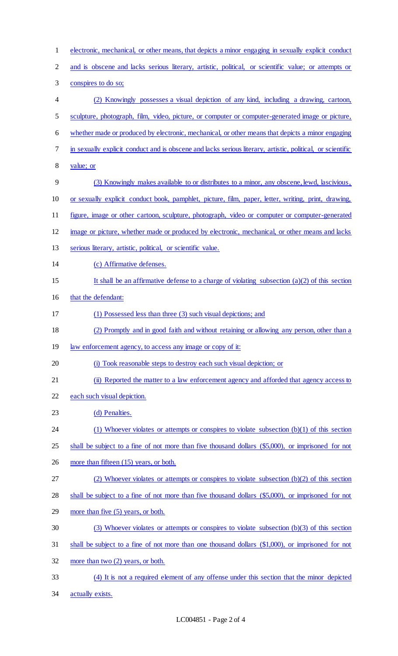| $\mathbf{1}$             | electronic, mechanical, or other means, that depicts a minor engaging in sexually explicit conduct         |
|--------------------------|------------------------------------------------------------------------------------------------------------|
| $\mathbf{2}$             | and is obscene and lacks serious literary, artistic, political, or scientific value; or attempts or        |
| 3                        | conspires to do so;                                                                                        |
| $\overline{\mathcal{A}}$ | (2) Knowingly possesses a visual depiction of any kind, including a drawing, cartoon,                      |
| 5                        | sculpture, photograph, film, video, picture, or computer or computer-generated image or picture,           |
| 6                        | whether made or produced by electronic, mechanical, or other means that depicts a minor engaging           |
| 7                        | in sexually explicit conduct and is obscene and lacks serious literary, artistic, political, or scientific |
| $8\,$                    | value; or                                                                                                  |
| 9                        | (3) Knowingly makes available to or distributes to a minor, any obscene, lewd, lascivious,                 |
| 10                       | or sexually explicit conduct book, pamphlet, picture, film, paper, letter, writing, print, drawing,        |
| 11                       | figure, image or other cartoon, sculpture, photograph, video or computer or computer-generated             |
| 12                       | image or picture, whether made or produced by electronic, mechanical, or other means and lacks             |
| 13                       | serious literary, artistic, political, or scientific value.                                                |
| 14                       | (c) Affirmative defenses.                                                                                  |
| 15                       | It shall be an affirmative defense to a charge of violating subsection $(a)(2)$ of this section            |
| 16                       | that the defendant:                                                                                        |
| 17                       | (1) Possessed less than three (3) such visual depictions; and                                              |
| 18                       | (2) Promptly and in good faith and without retaining or allowing any person, other than a                  |
| 19                       | law enforcement agency, to access any image or copy of it:                                                 |
| 20                       | (i) Took reasonable steps to destroy each such visual depiction; or                                        |
| 21                       | (ii) Reported the matter to a law enforcement agency and afforded that agency access to                    |
| 22                       | each such visual depiction.                                                                                |
| 23                       | (d) Penalties.                                                                                             |
| 24                       | (1) Whoever violates or attempts or conspires to violate subsection $(b)(1)$ of this section               |
| 25                       | shall be subject to a fine of not more than five thousand dollars (\$5,000), or imprisoned for not         |
| 26                       | more than fifteen (15) years, or both.                                                                     |
| 27                       | (2) Whoever violates or attempts or conspires to violate subsection $(b)(2)$ of this section               |
| 28                       | shall be subject to a fine of not more than five thousand dollars (\$5,000), or imprisoned for not         |
| 29                       | more than five (5) years, or both.                                                                         |
| 30                       | (3) Whoever violates or attempts or conspires to violate subsection (b)(3) of this section                 |
| 31                       | shall be subject to a fine of not more than one thousand dollars (\$1,000), or imprisoned for not          |
| 32                       | more than two $(2)$ years, or both.                                                                        |
| 33                       | (4) It is not a required element of any offense under this section that the minor depicted                 |
| 34                       | actually exists.                                                                                           |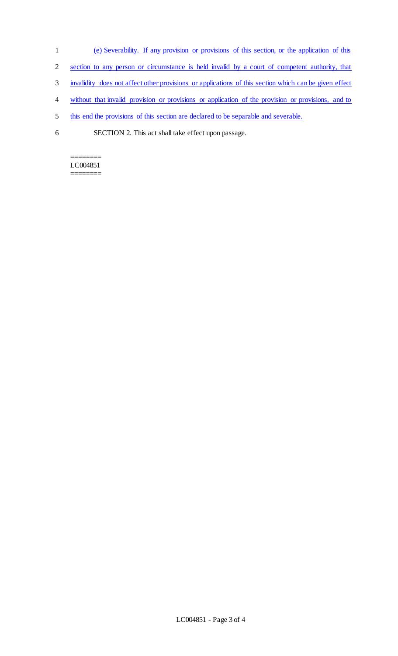- 1 (e) Severability. If any provision or provisions of this section, or the application of this
- 2 section to any person or circumstance is held invalid by a court of competent authority, that
- 3 invalidity does not affect other provisions or applications of this section which can be given effect
- 4 without that invalid provision or provisions or application of the provision or provisions, and to
- 5 this end the provisions of this section are declared to be separable and severable.
- 6 SECTION 2. This act shall take effect upon passage.

======== LC004851 ========